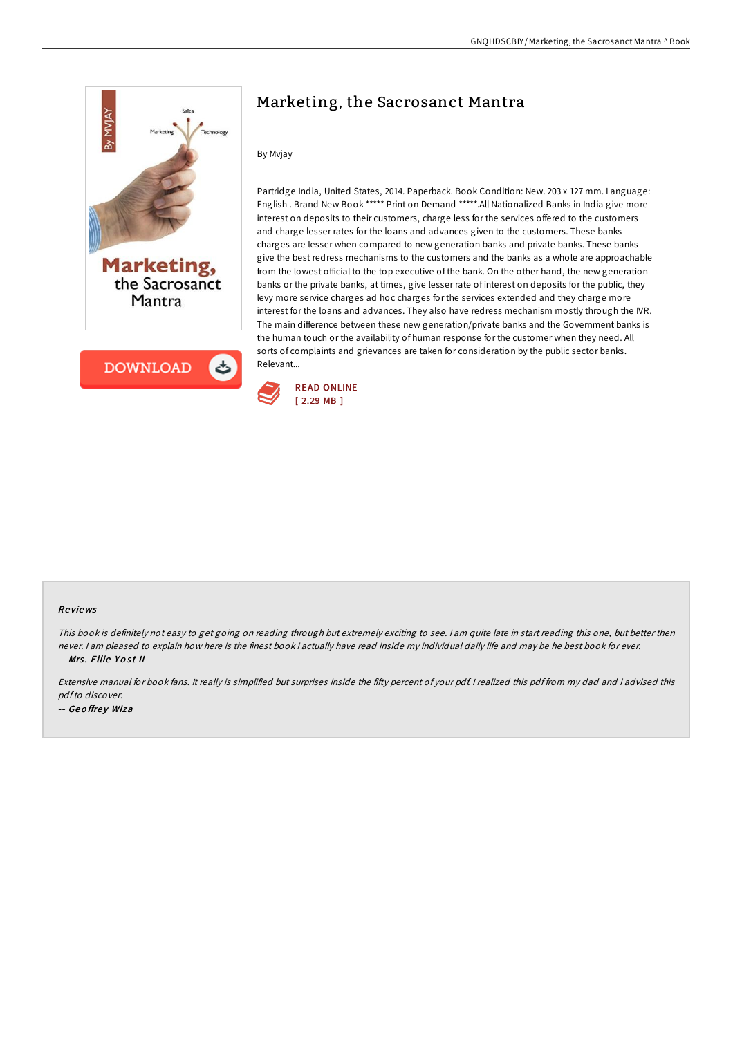

# Marketing, the Sacrosanct Mantra

### By Mvjay

Partridge India, United States, 2014. Paperback. Book Condition: New. 203 x 127 mm. Language: English . Brand New Book \*\*\*\*\* Print on Demand \*\*\*\*\*.All Nationalized Banks in India give more interest on deposits to their customers, charge less for the services offered to the customers and charge lesser rates for the loans and advances given to the customers. These banks charges are lesser when compared to new generation banks and private banks. These banks give the best redress mechanisms to the customers and the banks as a whole are approachable from the lowest official to the top executive of the bank. On the other hand, the new generation banks or the private banks, at times, give lesser rate of interest on deposits for the public, they levy more service charges ad hoc charges for the services extended and they charge more interest for the loans and advances. They also have redress mechanism mostly through the IVR. The main difference between these new generation/private banks and the Government banks is the human touch or the availability of human response for the customer when they need. All sorts of complaints and grievances are taken for consideration by the public sector banks. Relevant...



#### Re views

This book is definitely not easy to get going on reading through but extremely exciting to see. <sup>I</sup> am quite late in start reading this one, but better then never. I am pleased to explain how here is the finest book i actually have read inside my individual daily life and may be he best book for ever. -- Mrs. Ellie Yost II

Extensive manual for book fans. It really is simplified but surprises inside the fifty percent of your pdf. I realized this pdf from my dad and i advised this pdfto discover. -- Geoffrey Wiza